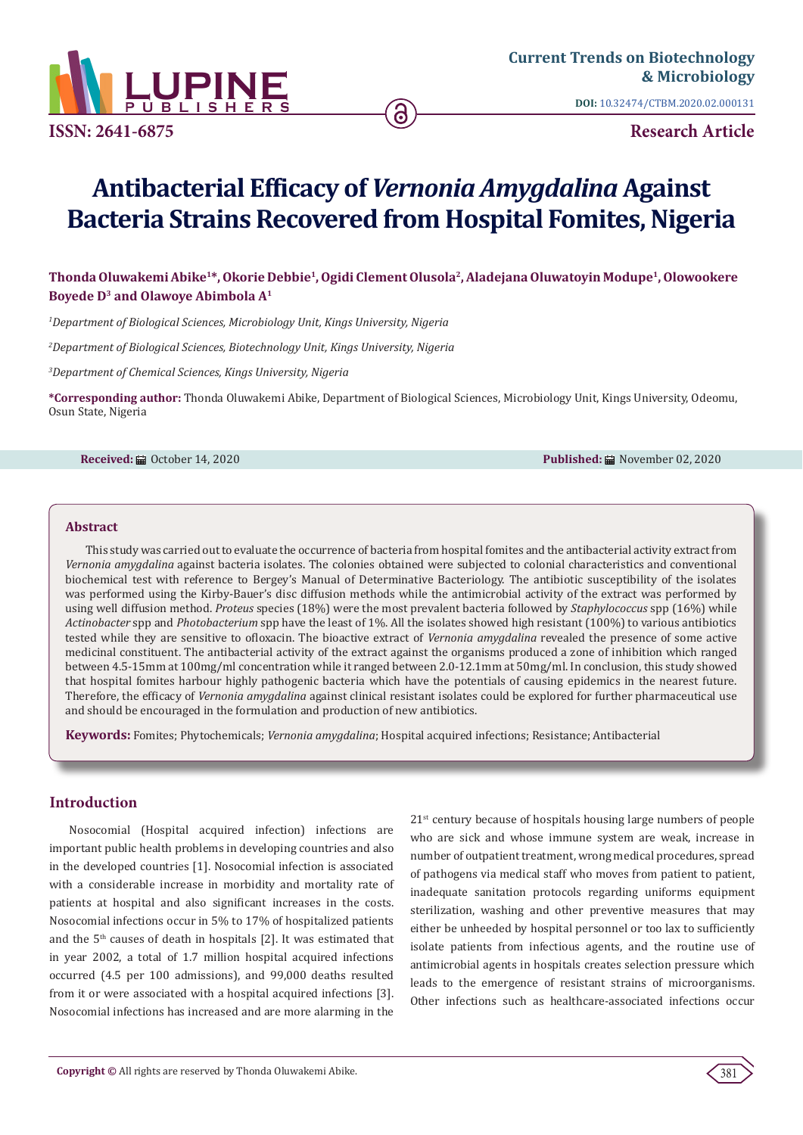

**ISSN: 2641-6875**

**DOI:** [10.32474/CTBM.2020.02.000131](http://dx.doi.org/10.32474/CTBM.2020.02.000131)

**Research Article**

# **Antibacterial Efficacy of** *Vernonia Amygdalina* **Against Bacteria Strains Recovered from Hospital Fomites, Nigeria**

**Thonda Oluwakemi Abike1\*, Okorie Debbie1, Ogidi Clement Olusola2, Aladejana Oluwatoyin Modupe1, Olowookere Boyede D3 and Olawoye Abimbola A1**

*1 Department of Biological Sciences, Microbiology Unit, Kings University, Nigeria*

*2 Department of Biological Sciences, Biotechnology Unit, Kings University, Nigeria*

*3 Department of Chemical Sciences, Kings University, Nigeria*

**\*Corresponding author:** Thonda Oluwakemi Abike, Department of Biological Sciences, Microbiology Unit, Kings University, Odeomu, Osun State, Nigeria

**Received:** ■ October 14, 2020 **Published:** ■ November 02, 2020

## **Abstract**

This study was carried out to evaluate the occurrence of bacteria from hospital fomites and the antibacterial activity extract from *Vernonia amygdalina* against bacteria isolates. The colonies obtained were subjected to colonial characteristics and conventional biochemical test with reference to Bergey's Manual of Determinative Bacteriology. The antibiotic susceptibility of the isolates was performed using the Kirby-Bauer's disc diffusion methods while the antimicrobial activity of the extract was performed by using well diffusion method. *Proteus* species (18%) were the most prevalent bacteria followed by *Staphylococcus* spp (16%) while *Actinobacter* spp and *Photobacterium* spp have the least of 1%. All the isolates showed high resistant (100%) to various antibiotics tested while they are sensitive to ofloxacin. The bioactive extract of *Vernonia amygdalina* revealed the presence of some active medicinal constituent. The antibacterial activity of the extract against the organisms produced a zone of inhibition which ranged between 4.5-15mm at 100mg/ml concentration while it ranged between 2.0-12.1mm at 50mg/ml. In conclusion, this study showed that hospital fomites harbour highly pathogenic bacteria which have the potentials of causing epidemics in the nearest future. Therefore, the efficacy of *Vernonia amygdalina* against clinical resistant isolates could be explored for further pharmaceutical use and should be encouraged in the formulation and production of new antibiotics.

**Keywords:** Fomites; Phytochemicals; *Vernonia amygdalina*; Hospital acquired infections; Resistance; Antibacterial

# **Introduction**

Nosocomial (Hospital acquired infection) infections are important public health problems in developing countries and also in the developed countries [1]. Nosocomial infection is associated with a considerable increase in morbidity and mortality rate of patients at hospital and also significant increases in the costs. Nosocomial infections occur in 5% to 17% of hospitalized patients and the 5th causes of death in hospitals [2]. It was estimated that in year 2002, a total of 1.7 million hospital acquired infections occurred (4.5 per 100 admissions), and 99,000 deaths resulted from it or were associated with a hospital acquired infections [3]. Nosocomial infections has increased and are more alarming in the

21st century because of hospitals housing large numbers of people who are sick and whose immune system are weak, increase in number of outpatient treatment, wrong medical procedures, spread of pathogens via medical staff who moves from patient to patient, inadequate sanitation protocols regarding uniforms equipment sterilization, washing and other preventive measures that may either be unheeded by hospital personnel or too lax to sufficiently isolate patients from infectious agents, and the routine use of antimicrobial agents in hospitals creates selection pressure which leads to the emergence of resistant strains of microorganisms. Other infections such as healthcare-associated infections occur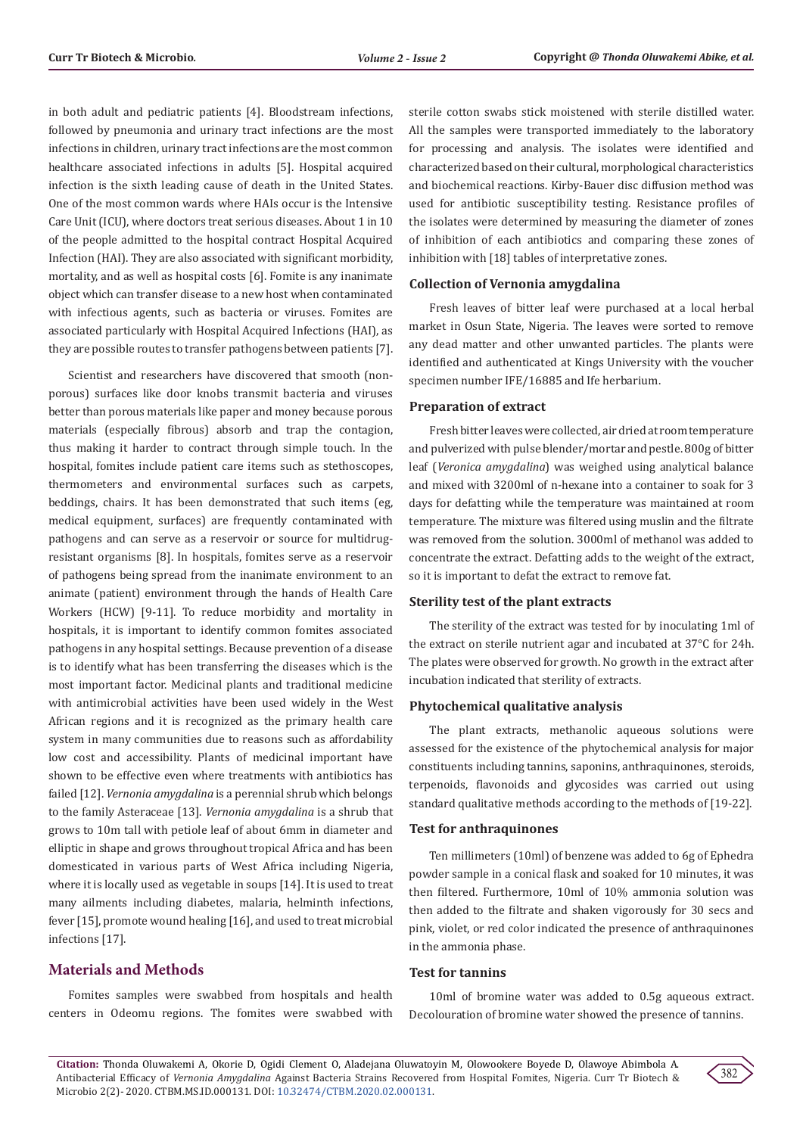in both adult and pediatric patients [4]. Bloodstream infections, followed by pneumonia and urinary tract infections are the most infections in children, urinary tract infections are the most common healthcare associated infections in adults [5]. Hospital acquired infection is the sixth leading cause of death in the United States. One of the most common wards where HAIs occur is the Intensive Care Unit (ICU), where doctors treat serious diseases. About 1 in 10 of the people admitted to the hospital contract Hospital Acquired Infection (HAI). They are also associated with significant morbidity, mortality, and as well as hospital costs [6]. Fomite is any inanimate object which can transfer disease to a new host when contaminated with infectious agents, such as bacteria or viruses. Fomites are associated particularly with Hospital Acquired Infections (HAI), as they are possible routes to transfer pathogens between patients [7].

Scientist and researchers have discovered that smooth (nonporous) surfaces like door knobs transmit bacteria and viruses better than porous materials like paper and money because porous materials (especially fibrous) absorb and trap the contagion, thus making it harder to contract through simple touch. In the hospital, fomites include patient care items such as stethoscopes, thermometers and environmental surfaces such as carpets, beddings, chairs. It has been demonstrated that such items (eg, medical equipment, surfaces) are frequently contaminated with pathogens and can serve as a reservoir or source for multidrugresistant organisms [8]. In hospitals, fomites serve as a reservoir of pathogens being spread from the inanimate environment to an animate (patient) environment through the hands of Health Care Workers (HCW) [9-11]. To reduce morbidity and mortality in hospitals, it is important to identify common fomites associated pathogens in any hospital settings. Because prevention of a disease is to identify what has been transferring the diseases which is the most important factor. Medicinal plants and traditional medicine with antimicrobial activities have been used widely in the West African regions and it is recognized as the primary health care system in many communities due to reasons such as affordability low cost and accessibility. Plants of medicinal important have shown to be effective even where treatments with antibiotics has failed [12]. *Vernonia amygdalina* is a perennial shrub which belongs to the family Asteraceae [13]. *Vernonia amygdalina* is a shrub that grows to 10m tall with petiole leaf of about 6mm in diameter and elliptic in shape and grows throughout tropical Africa and has been domesticated in various parts of West Africa including Nigeria, where it is locally used as vegetable in soups [14]. It is used to treat many ailments including diabetes, malaria, helminth infections, fever [15], promote wound healing [16], and used to treat microbial infections [17].

# **Materials and Methods**

Fomites samples were swabbed from hospitals and health centers in Odeomu regions. The fomites were swabbed with

sterile cotton swabs stick moistened with sterile distilled water. All the samples were transported immediately to the laboratory for processing and analysis. The isolates were identified and characterized based on their cultural, morphological characteristics and biochemical reactions. Kirby-Bauer disc diffusion method was used for antibiotic susceptibility testing. Resistance profiles of the isolates were determined by measuring the diameter of zones of inhibition of each antibiotics and comparing these zones of inhibition with [18] tables of interpretative zones.

#### **Collection of Vernonia amygdalina**

Fresh leaves of bitter leaf were purchased at a local herbal market in Osun State, Nigeria. The leaves were sorted to remove any dead matter and other unwanted particles. The plants were identified and authenticated at Kings University with the voucher specimen number IFE/16885 and Ife herbarium.

#### **Preparation of extract**

Fresh bitter leaves were collected, air dried at room temperature and pulverized with pulse blender/mortar and pestle. 800g of bitter leaf (*Veronica amygdalina*) was weighed using analytical balance and mixed with 3200ml of n-hexane into a container to soak for 3 days for defatting while the temperature was maintained at room temperature. The mixture was filtered using muslin and the filtrate was removed from the solution. 3000ml of methanol was added to concentrate the extract. Defatting adds to the weight of the extract, so it is important to defat the extract to remove fat.

#### **Sterility test of the plant extracts**

The sterility of the extract was tested for by inoculating 1ml of the extract on sterile nutrient agar and incubated at 37°C for 24h. The plates were observed for growth. No growth in the extract after incubation indicated that sterility of extracts.

#### **Phytochemical qualitative analysis**

The plant extracts, methanolic aqueous solutions were assessed for the existence of the phytochemical analysis for major constituents including tannins, saponins, anthraquinones, steroids, terpenoids, flavonoids and glycosides was carried out using standard qualitative methods according to the methods of [19-22].

#### **Test for anthraquinones**

Ten millimeters (10ml) of benzene was added to 6g of Ephedra powder sample in a conical flask and soaked for 10 minutes, it was then filtered. Furthermore, 10ml of 10% ammonia solution was then added to the filtrate and shaken vigorously for 30 secs and pink, violet, or red color indicated the presence of anthraquinones in the ammonia phase.

#### **Test for tannins**

10ml of bromine water was added to 0.5g aqueous extract. Decolouration of bromine water showed the presence of tannins.

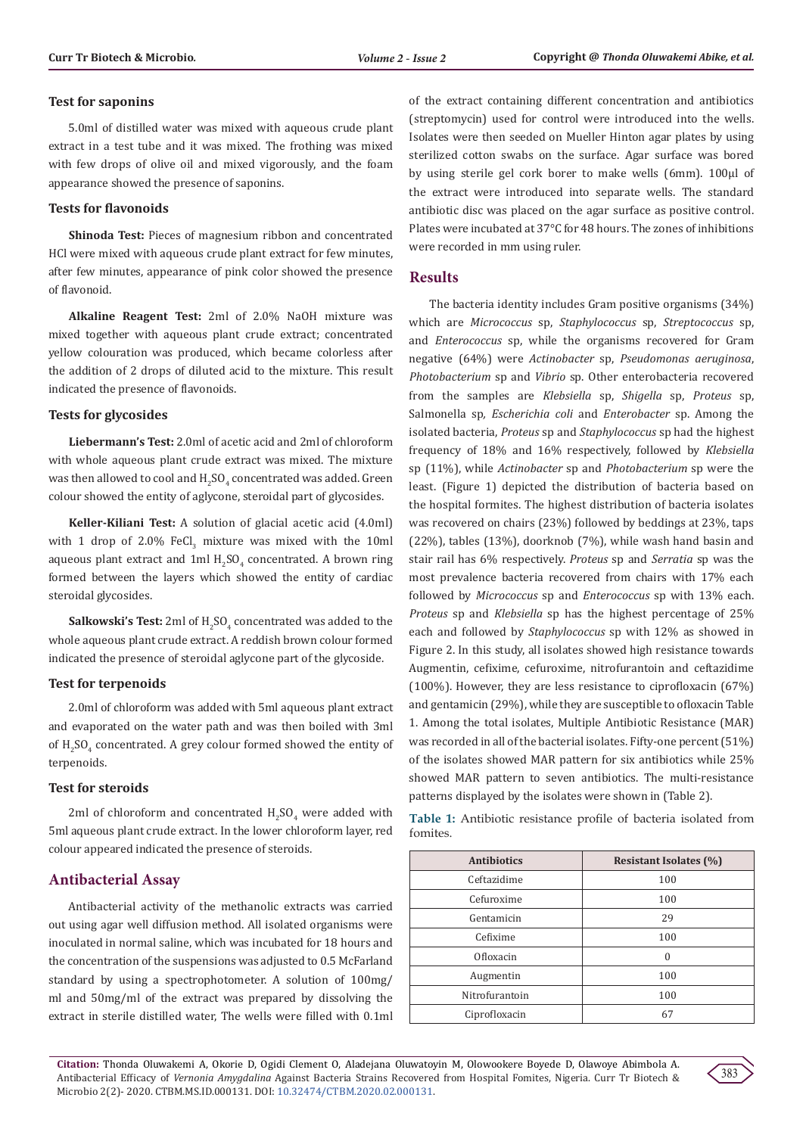# **Test for saponins**

5.0ml of distilled water was mixed with aqueous crude plant extract in a test tube and it was mixed. The frothing was mixed with few drops of olive oil and mixed vigorously, and the foam appearance showed the presence of saponins.

# **Tests for flavonoids**

**Shinoda Test:** Pieces of magnesium ribbon and concentrated HCl were mixed with aqueous crude plant extract for few minutes, after few minutes, appearance of pink color showed the presence of flavonoid.

**Alkaline Reagent Test:** 2ml of 2.0% NaOH mixture was mixed together with aqueous plant crude extract; concentrated yellow colouration was produced, which became colorless after the addition of 2 drops of diluted acid to the mixture. This result indicated the presence of flavonoids.

# **Tests for glycosides**

**Liebermann's Test:** 2.0ml of acetic acid and 2ml of chloroform with whole aqueous plant crude extract was mixed. The mixture was then allowed to cool and  $\rm H_2SO_4$  concentrated was added. Green colour showed the entity of aglycone, steroidal part of glycosides.

**Keller-Kiliani Test:** A solution of glacial acetic acid (4.0ml) with 1 drop of  $2.0\%$  FeCl<sub>3</sub> mixture was mixed with the  $10\text{ml}$ aqueous plant extract and  $1ml H_2SO_4$  concentrated. A brown ring formed between the layers which showed the entity of cardiac steroidal glycosides.

**Salkowski's Test:** 2ml of  $H_2SO_4$  concentrated was added to the whole aqueous plant crude extract. A reddish brown colour formed indicated the presence of steroidal aglycone part of the glycoside.

# **Test for terpenoids**

2.0ml of chloroform was added with 5ml aqueous plant extract and evaporated on the water path and was then boiled with 3ml of  $H<sub>2</sub>SO<sub>4</sub>$  concentrated. A grey colour formed showed the entity of terpenoids.

# **Test for steroids**

 $2<sub>m</sub>$  of chloroform and concentrated  $H<sub>2</sub>SO<sub>4</sub>$  were added with 5ml aqueous plant crude extract. In the lower chloroform layer, red colour appeared indicated the presence of steroids.

# **Antibacterial Assay**

Antibacterial activity of the methanolic extracts was carried out using agar well diffusion method. All isolated organisms were inoculated in normal saline, which was incubated for 18 hours and the concentration of the suspensions was adjusted to 0.5 McFarland standard by using a spectrophotometer. A solution of 100mg/ ml and 50mg/ml of the extract was prepared by dissolving the extract in sterile distilled water, The wells were filled with 0.1ml of the extract containing different concentration and antibiotics (streptomycin) used for control were introduced into the wells. Isolates were then seeded on Mueller Hinton agar plates by using sterilized cotton swabs on the surface. Agar surface was bored by using sterile gel cork borer to make wells (6mm). 100μl of the extract were introduced into separate wells. The standard antibiotic disc was placed on the agar surface as positive control. Plates were incubated at 37°C for 48 hours. The zones of inhibitions were recorded in mm using ruler.

# **Results**

The bacteria identity includes Gram positive organisms (34%) which are *Micrococcus* sp, *Staphylococcus* sp, *Streptococcus* sp, and *Enterococcus* sp, while the organisms recovered for Gram negative (64%) were *Actinobacter* sp, *Pseudomonas aeruginosa*, *Photobacterium* sp and *Vibrio* sp. Other enterobacteria recovered from the samples are *Klebsiella* sp, *Shigella* sp, *Proteus* sp, Salmonella sp*, Escherichia coli* and *Enterobacter* sp. Among the isolated bacteria, *Proteus* sp and *Staphylococcus* sp had the highest frequency of 18% and 16% respectively, followed by *Klebsiella* sp (11%), while *Actinobacter* sp and *Photobacterium* sp were the least. (Figure 1) depicted the distribution of bacteria based on the hospital formites. The highest distribution of bacteria isolates was recovered on chairs (23%) followed by beddings at 23%, taps (22%), tables (13%), doorknob (7%), while wash hand basin and stair rail has 6% respectively. *Proteus* sp and *Serratia* sp was the most prevalence bacteria recovered from chairs with 17% each followed by *Micrococcus* sp and *Enterococcus* sp with 13% each. *Proteus* sp and *Klebsiella* sp has the highest percentage of 25% each and followed by *Staphylococcus* sp with 12% as showed in Figure 2. In this study, all isolates showed high resistance towards Augmentin, cefixime, cefuroxime, nitrofurantoin and ceftazidime (100%). However, they are less resistance to ciprofloxacin (67%) and gentamicin (29%), while they are susceptible to ofloxacin Table 1. Among the total isolates, Multiple Antibiotic Resistance (MAR) was recorded in all of the bacterial isolates. Fifty-one percent (51%) of the isolates showed MAR pattern for six antibiotics while 25% showed MAR pattern to seven antibiotics. The multi-resistance patterns displayed by the isolates were shown in (Table 2).

**Table 1:** Antibiotic resistance profile of bacteria isolated from fomites.

| <b>Antibiotics</b> | <b>Resistant Isolates (%)</b> |
|--------------------|-------------------------------|
| Ceftazidime        | 100                           |
| Cefuroxime         | 100                           |
| Gentamicin         | 29                            |
| Cefixime           | 100                           |
| Ofloxacin          | 0                             |
| Augmentin          | 100                           |
| Nitrofurantoin     | 100                           |
| Ciprofloxacin      | 67                            |

**Citation:** Thonda Oluwakemi A, Okorie D, Ogidi Clement O, Aladejana Oluwatoyin M, Olowookere Boyede D, Olawoye Abimbola A. Antibacterial Efficacy of *Vernonia Amygdalina* Against Bacteria Strains Recovered from Hospital Fomites, Nigeria. Curr Tr Biotech & Microbio 2(2)- 2020. CTBM.MS.ID.000131. DOI: [10.32474/CTBM.2020.02.000131](http://dx.doi.org/10.32474/CTBM.2020.02.000131).

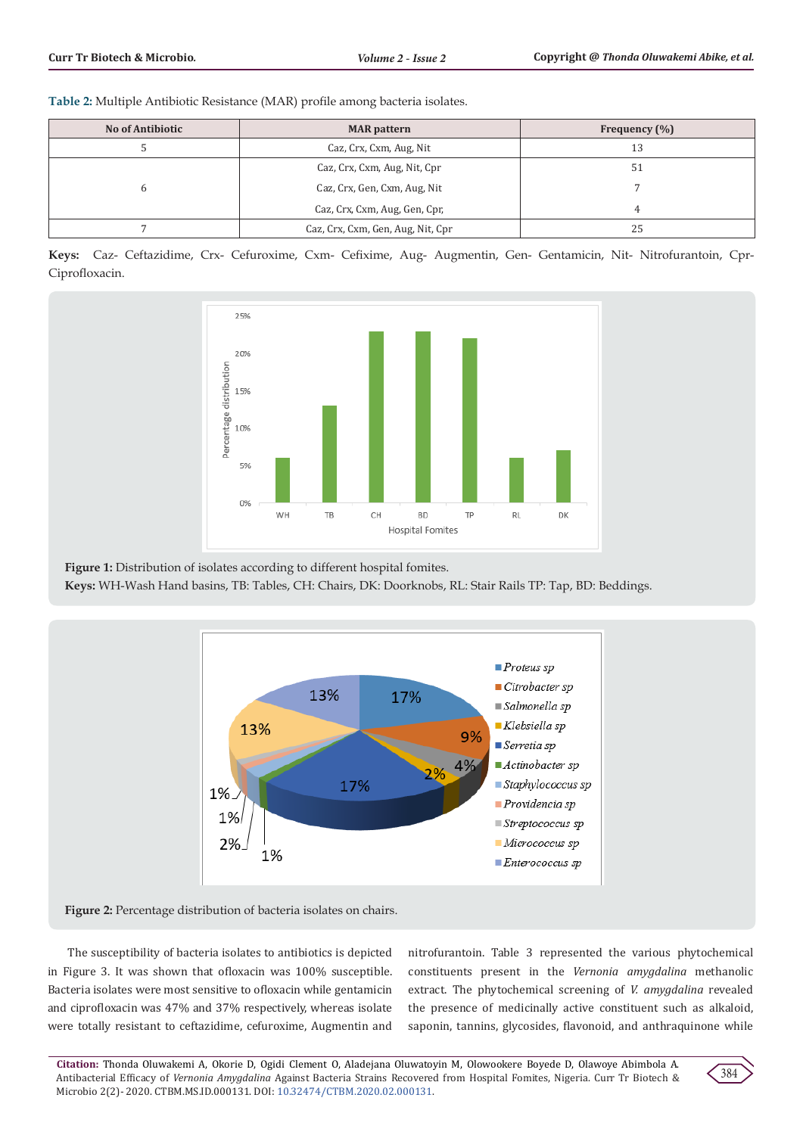**Table 2:** Multiple Antibiotic Resistance (MAR) profile among bacteria isolates.

| <b>No of Antibiotic</b> | <b>MAR</b> pattern                | Frequency $(\% )$ |
|-------------------------|-----------------------------------|-------------------|
|                         | Caz, Crx, Cxm, Aug, Nit           | 13                |
|                         | Caz, Crx, Cxm, Aug, Nit, Cpr      | 51                |
| 6                       | Caz, Crx, Gen, Cxm, Aug, Nit      |                   |
|                         | Caz, Crx, Cxm, Aug, Gen, Cpr,     | 4                 |
|                         | Caz, Crx, Cxm, Gen, Aug, Nit, Cpr | 25                |

**Keys:** Caz- Ceftazidime, Crx- Cefuroxime, Cxm- Cefixime, Aug- Augmentin, Gen- Gentamicin, Nit- Nitrofurantoin, Cpr-Ciprofloxacin.



**Figure 1:** Distribution of isolates according to different hospital fomites.

**Keys:** WH-Wash Hand basins, TB: Tables, CH: Chairs, DK: Doorknobs, RL: Stair Rails TP: Tap, BD: Beddings.



**Figure 2:** Percentage distribution of bacteria isolates on chairs.

The susceptibility of bacteria isolates to antibiotics is depicted in Figure 3. It was shown that ofloxacin was 100% susceptible. Bacteria isolates were most sensitive to ofloxacin while gentamicin and ciprofloxacin was 47% and 37% respectively, whereas isolate were totally resistant to ceftazidime, cefuroxime, Augmentin and nitrofurantoin. Table 3 represented the various phytochemical constituents present in the *Vernonia amygdalina* methanolic extract. The phytochemical screening of *V. amygdalina* revealed the presence of medicinally active constituent such as alkaloid, saponin, tannins, glycosides, flavonoid, and anthraquinone while

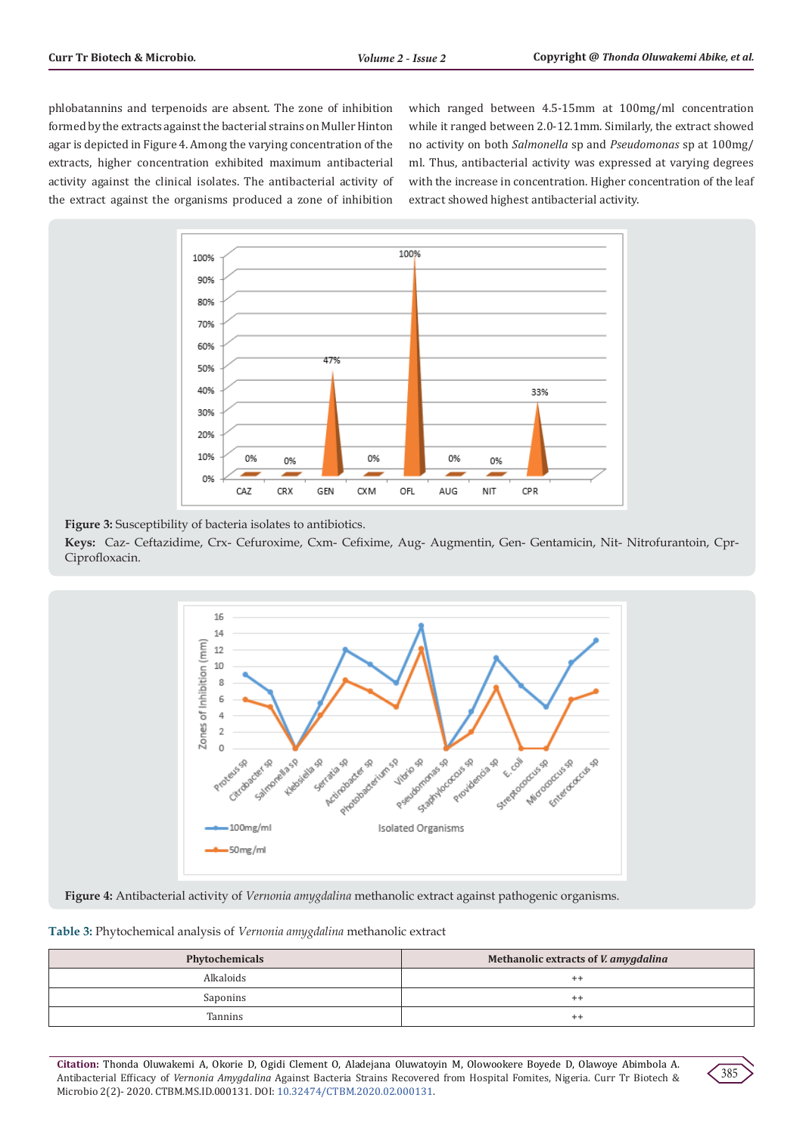phlobatannins and terpenoids are absent. The zone of inhibition formed by the extracts against the bacterial strains on Muller Hinton agar is depicted in Figure 4. Among the varying concentration of the extracts, higher concentration exhibited maximum antibacterial activity against the clinical isolates. The antibacterial activity of the extract against the organisms produced a zone of inhibition

which ranged between 4.5-15mm at 100mg/ml concentration while it ranged between 2.0-12.1mm. Similarly, the extract showed no activity on both *Salmonella* sp and *Pseudomonas* sp at 100mg/ ml. Thus, antibacterial activity was expressed at varying degrees with the increase in concentration. Higher concentration of the leaf extract showed highest antibacterial activity.



**Figure 3:** Susceptibility of bacteria isolates to antibiotics.

**Keys:** Caz- Ceftazidime, Crx- Cefuroxime, Cxm- Cefixime, Aug- Augmentin, Gen- Gentamicin, Nit- Nitrofurantoin, Cpr-Ciprofloxacin.



**Figure 4:** Antibacterial activity of *Vernonia amygdalina* methanolic extract against pathogenic organisms.

**Table 3:** Phytochemical analysis of *Vernonia amygdalina* methanolic extract

| Phytochemicals   | Methanolic extracts of <i>V. amygdalina</i> |
|------------------|---------------------------------------------|
| <b>Alkaloids</b> | $^{++}$                                     |
| Saponins         | $^{++}$                                     |
| Tannins          | $^{++}$                                     |

**Citation:** Thonda Oluwakemi A, Okorie D, Ogidi Clement O, Aladejana Oluwatoyin M, Olowookere Boyede D, Olawoye Abimbola A. Antibacterial Efficacy of *Vernonia Amygdalina* Against Bacteria Strains Recovered from Hospital Fomites, Nigeria. Curr Tr Biotech & Microbio 2(2)- 2020. CTBM.MS.ID.000131. DOI: [10.32474/CTBM.2020.02.000131](http://dx.doi.org/10.32474/CTBM.2020.02.000131).

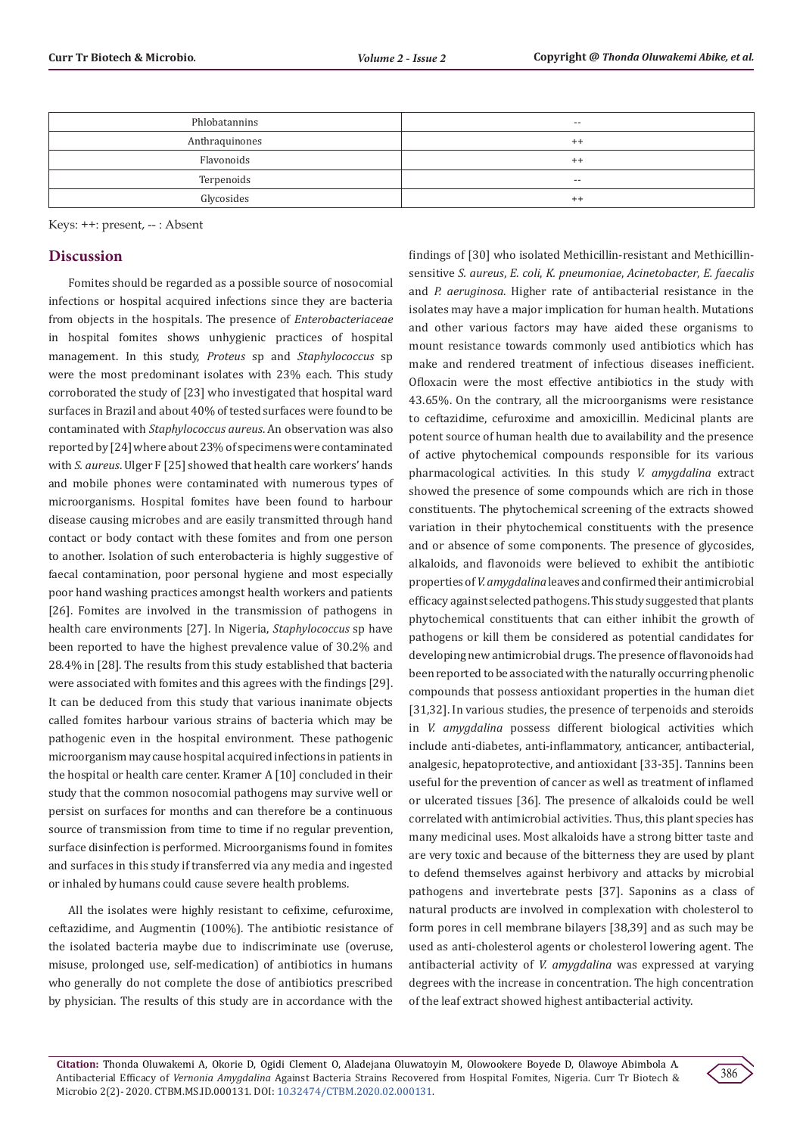| Phlobatannins  | $- -$   |
|----------------|---------|
| Anthraquinones | $^{++}$ |
| Flavonoids     | $^{++}$ |
| Terpenoids     | $- -$   |
| Glycosides     | $^{++}$ |

Keys: ++: present, -- : Absent

# **Discussion**

Fomites should be regarded as a possible source of nosocomial infections or hospital acquired infections since they are bacteria from objects in the hospitals. The presence of *Enterobacteriaceae* in hospital fomites shows unhygienic practices of hospital management. In this study, *Proteus* sp and *Staphylococcus* sp were the most predominant isolates with 23% each. This study corroborated the study of [23] who investigated that hospital ward surfaces in Brazil and about 40% of tested surfaces were found to be contaminated with *Staphylococcus aureus*. An observation was also reported by [24] where about 23% of specimens were contaminated with *S. aureus*. Ulger F [25] showed that health care workers' hands and mobile phones were contaminated with numerous types of microorganisms. Hospital fomites have been found to harbour disease causing microbes and are easily transmitted through hand contact or body contact with these fomites and from one person to another. Isolation of such enterobacteria is highly suggestive of faecal contamination, poor personal hygiene and most especially poor hand washing practices amongst health workers and patients [26]. Fomites are involved in the transmission of pathogens in health care environments [27]. In Nigeria, *Staphylococcus* sp have been reported to have the highest prevalence value of 30.2% and 28.4% in [28]. The results from this study established that bacteria were associated with fomites and this agrees with the findings [29]. It can be deduced from this study that various inanimate objects called fomites harbour various strains of bacteria which may be pathogenic even in the hospital environment. These pathogenic microorganism may cause hospital acquired infections in patients in the hospital or health care center. Kramer A [10] concluded in their study that the common nosocomial pathogens may survive well or persist on surfaces for months and can therefore be a continuous source of transmission from time to time if no regular prevention, surface disinfection is performed. Microorganisms found in fomites and surfaces in this study if transferred via any media and ingested or inhaled by humans could cause severe health problems.

All the isolates were highly resistant to cefixime, cefuroxime, ceftazidime, and Augmentin (100%). The antibiotic resistance of the isolated bacteria maybe due to indiscriminate use (overuse, misuse, prolonged use, self-medication) of antibiotics in humans who generally do not complete the dose of antibiotics prescribed by physician. The results of this study are in accordance with the

findings of [30] who isolated Methicillin-resistant and Methicillinsensitive *S. aureus*, *E. coli*, *K. pneumoniae*, *Acinetobacter*, *E. faecalis* and *P. aeruginosa*. Higher rate of antibacterial resistance in the isolates may have a major implication for human health. Mutations and other various factors may have aided these organisms to mount resistance towards commonly used antibiotics which has make and rendered treatment of infectious diseases inefficient. Ofloxacin were the most effective antibiotics in the study with 43.65%. On the contrary, all the microorganisms were resistance to ceftazidime, cefuroxime and amoxicillin. Medicinal plants are potent source of human health due to availability and the presence of active phytochemical compounds responsible for its various pharmacological activities. In this study *V. amygdalina* extract showed the presence of some compounds which are rich in those constituents. The phytochemical screening of the extracts showed variation in their phytochemical constituents with the presence and or absence of some components. The presence of glycosides, alkaloids, and flavonoids were believed to exhibit the antibiotic properties of *V. amygdalina* leaves and confirmed their antimicrobial efficacy against selected pathogens. This study suggested that plants phytochemical constituents that can either inhibit the growth of pathogens or kill them be considered as potential candidates for developing new antimicrobial drugs. The presence of flavonoids had been reported to be associated with the naturally occurring phenolic compounds that possess antioxidant properties in the human diet [31,32]. In various studies, the presence of terpenoids and steroids in *V. amygdalina* possess different biological activities which include anti-diabetes, anti-inflammatory, anticancer, antibacterial, analgesic, hepatoprotective, and antioxidant [33-35]. Tannins been useful for the prevention of cancer as well as treatment of inflamed or ulcerated tissues [36]. The presence of alkaloids could be well correlated with antimicrobial activities. Thus, this plant species has many medicinal uses. Most alkaloids have a strong bitter taste and are very toxic and because of the bitterness they are used by plant to defend themselves against herbivory and attacks by microbial pathogens and invertebrate pests [37]. Saponins as a class of natural products are involved in complexation with cholesterol to form pores in cell membrane bilayers [38,39] and as such may be used as anti-cholesterol agents or cholesterol lowering agent. The antibacterial activity of *V. amygdalina* was expressed at varying degrees with the increase in concentration. The high concentration of the leaf extract showed highest antibacterial activity.

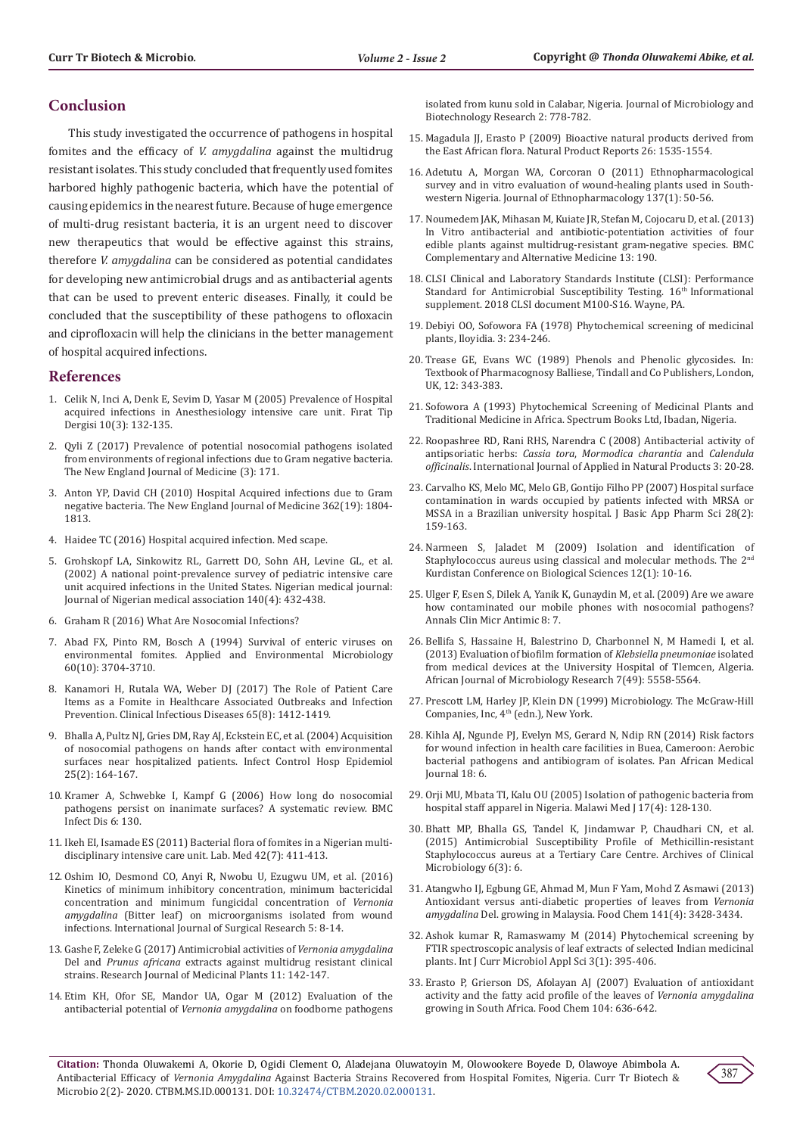# **Conclusion**

This study investigated the occurrence of pathogens in hospital fomites and the efficacy of *V. amygdalina* against the multidrug resistant isolates. This study concluded that frequently used fomites harbored highly pathogenic bacteria, which have the potential of causing epidemics in the nearest future. Because of huge emergence of multi-drug resistant bacteria, it is an urgent need to discover new therapeutics that would be effective against this strains, therefore *V. amygdalina* can be considered as potential candidates for developing new antimicrobial drugs and as antibacterial agents that can be used to prevent enteric diseases. Finally, it could be concluded that the susceptibility of these pathogens to ofloxacin and ciprofloxacin will help the clinicians in the better management of hospital acquired infections.

#### **References**

- 1. [Celik N, Inci A, Denk E, Sevim D, Yasar M \(2005\) Prevalence of Hospital](http://firattipdergisi.com/pdf/pdf_FTD_271.pdf)  [acquired infections in Anesthesiology intensive care unit. Fırat Tip](http://firattipdergisi.com/pdf/pdf_FTD_271.pdf)  [Dergisi 10\(3\): 132-135.](http://firattipdergisi.com/pdf/pdf_FTD_271.pdf)
- 2. Qyli Z (2017) Prevalence of potential nosocomial pathogens isolated from environments of regional infections due to Gram negative bacteria. The New England Journal of Medicine (3): 171.
- 3. [Anton YP, David CH \(2010\) Hospital Acquired infections due to Gram](https://pubmed.ncbi.nlm.nih.gov/20463340/)  [negative bacteria. The New England Journal of Medicine 362\(19\): 1804-](https://pubmed.ncbi.nlm.nih.gov/20463340/) [1813.](https://pubmed.ncbi.nlm.nih.gov/20463340/)
- 4. Haidee TC (2016) Hospital acquired infection. Med scape.
- 5. [Grohskopf LA, Sinkowitz RL, Garrett DO, Sohn AH, Levine GL, et al.](https://pubmed.ncbi.nlm.nih.gov/12006957/)  [\(2002\) A national point-prevalence survey of pediatric intensive care](https://pubmed.ncbi.nlm.nih.gov/12006957/)  [unit acquired infections in the United States. Nigerian medical journal:](https://pubmed.ncbi.nlm.nih.gov/12006957/)  [Journal of Nigerian medical association 140\(4\): 432-438.](https://pubmed.ncbi.nlm.nih.gov/12006957/)
- 6. Graham R (2016) What Are Nosocomial Infections?
- 7. [Abad FX, Pinto RM, Bosch A \(1994\) Survival of enteric viruses on](https://www.ncbi.nlm.nih.gov/pmc/articles/PMC201876/)  [environmental fomites. Applied and Environmental Microbiology](https://www.ncbi.nlm.nih.gov/pmc/articles/PMC201876/)  [60\(10\): 3704-3710.](https://www.ncbi.nlm.nih.gov/pmc/articles/PMC201876/)
- 8. [Kanamori H, Rutala WA, Weber DJ \(2017\) The Role of Patient Care](https://www.researchgate.net/publication/317016528_The_Role_of_Patient_Care_Items_as_a_Fomite_in_Healthcare-Associated_Outbreaks_and_Infection_Prevention)  [Items as a Fomite in Healthcare Associated Outbreaks and Infection](https://www.researchgate.net/publication/317016528_The_Role_of_Patient_Care_Items_as_a_Fomite_in_Healthcare-Associated_Outbreaks_and_Infection_Prevention)  [Prevention. Clinical Infectious Diseases 65\(8\): 1412-1419.](https://www.researchgate.net/publication/317016528_The_Role_of_Patient_Care_Items_as_a_Fomite_in_Healthcare-Associated_Outbreaks_and_Infection_Prevention)
- 9. [Bhalla A, Pultz NJ, Gries DM, Ray AJ, Eckstein EC, et al. \(2004\) Acquisition](https://pubmed.ncbi.nlm.nih.gov/14994944/)  [of nosocomial pathogens on hands after contact with environmental](https://pubmed.ncbi.nlm.nih.gov/14994944/)  [surfaces near hospitalized patients. Infect Control Hosp Epidemiol](https://pubmed.ncbi.nlm.nih.gov/14994944/)  [25\(2\): 164-167.](https://pubmed.ncbi.nlm.nih.gov/14994944/)
- 10. [Kramer A, Schwebke I, Kampf G \(2006\) How long do nosocomial](https://pubmed.ncbi.nlm.nih.gov/16914034/)  [pathogens persist on inanimate surfaces? A systematic review. BMC](https://pubmed.ncbi.nlm.nih.gov/16914034/)  [Infect Dis 6: 130.](https://pubmed.ncbi.nlm.nih.gov/16914034/)
- 11. [Ikeh EI, Isamade ES \(2011\) Bacterial flora of fomites in a Nigerian multi](https://academic.oup.com/labmed/article/42/7/411/2657677)[disciplinary intensive care unit. Lab. Med 42\(7\): 411-413.](https://academic.oup.com/labmed/article/42/7/411/2657677)
- 12. [Oshim IO, Desmond CO, Anyi R, Nwobu U, Ezugwu UM, et al. \(2016\)](https://www.researchgate.net/publication/304625659_Kinetics_of_Minimum_Inhibitory_Concentration_Minimum_Bactericidal_Concentration_and_Minimum_Fungicidal_Concentration_of_Vernonia_amygdalina_Bitter_leaf_on_Microorganisms_Isolated_from_Wound_Infections)  [Kinetics of minimum inhibitory concentration, minimum bactericidal](https://www.researchgate.net/publication/304625659_Kinetics_of_Minimum_Inhibitory_Concentration_Minimum_Bactericidal_Concentration_and_Minimum_Fungicidal_Concentration_of_Vernonia_amygdalina_Bitter_leaf_on_Microorganisms_Isolated_from_Wound_Infections)  [concentration and minimum fungicidal concentration of](https://www.researchgate.net/publication/304625659_Kinetics_of_Minimum_Inhibitory_Concentration_Minimum_Bactericidal_Concentration_and_Minimum_Fungicidal_Concentration_of_Vernonia_amygdalina_Bitter_leaf_on_Microorganisms_Isolated_from_Wound_Infections) *Vernonia amygdalina* [\(Bitter leaf\) on microorganisms isolated from wound](https://www.researchgate.net/publication/304625659_Kinetics_of_Minimum_Inhibitory_Concentration_Minimum_Bactericidal_Concentration_and_Minimum_Fungicidal_Concentration_of_Vernonia_amygdalina_Bitter_leaf_on_Microorganisms_Isolated_from_Wound_Infections)  [infections. International Journal of Surgical Research 5: 8-14.](https://www.researchgate.net/publication/304625659_Kinetics_of_Minimum_Inhibitory_Concentration_Minimum_Bactericidal_Concentration_and_Minimum_Fungicidal_Concentration_of_Vernonia_amygdalina_Bitter_leaf_on_Microorganisms_Isolated_from_Wound_Infections)
- 13. [Gashe F, Zeleke G \(2017\) Antimicrobial activities of](https://scialert.net/abstract/?doi=rjmp.2017.142.147) *Vernonia amygdalina* Del and *Prunus africana* [extracts against multidrug resistant clinical](https://scialert.net/abstract/?doi=rjmp.2017.142.147)  [strains. Research Journal of Medicinal Plants 11: 142-147.](https://scialert.net/abstract/?doi=rjmp.2017.142.147)
- 14. [Etim KH, Ofor SE, Mandor UA, Ogar M \(2012\) Evaluation of the](https://www.semanticscholar.org/paper/Evaluation-of-the-antibacterial-potential-of-on-in-E.-Etim/dd861a497170e2884b9ccc0438b813bee21f5f70)  antibacterial potential of *Vernonia amygdalina* on foodborne pathogens

[isolated from kunu sold in Calabar, Nigeria. Journal of Microbiology and](https://www.semanticscholar.org/paper/Evaluation-of-the-antibacterial-potential-of-on-in-E.-Etim/dd861a497170e2884b9ccc0438b813bee21f5f70) [Biotechnology Research 2: 778-782.](https://www.semanticscholar.org/paper/Evaluation-of-the-antibacterial-potential-of-on-in-E.-Etim/dd861a497170e2884b9ccc0438b813bee21f5f70)

- 15. Magadula JJ, Erasto P (2009) Bioactive natural products derived from the East African flora. Natural Product Reports 26: 1535-1554.
- 16. [Adetutu A, Morgan WA, Corcoran O \(2011\) Ethnopharmacological](https://pubmed.ncbi.nlm.nih.gov/21501678/) [survey and in vitro evaluation of wound-healing plants used in South](https://pubmed.ncbi.nlm.nih.gov/21501678/)[western Nigeria. Journal of Ethnopharmacology 137\(1\): 50-56.](https://pubmed.ncbi.nlm.nih.gov/21501678/)
- 17. [Noumedem JAK, Mihasan M, Kuiate JR, Stefan M, Cojocaru D, et al. \(2013\)](https://pubmed.ncbi.nlm.nih.gov/23885762/) [In Vitro antibacterial and antibiotic-potentiation activities of four](https://pubmed.ncbi.nlm.nih.gov/23885762/) [edible plants against multidrug-resistant gram-negative species. BMC](https://pubmed.ncbi.nlm.nih.gov/23885762/) [Complementary and Alternative Medicine 13: 190.](https://pubmed.ncbi.nlm.nih.gov/23885762/)
- 18. CLSI Clinical and Laboratory Standards Institute (CLSI): Performance Standard for Antimicrobial Susceptibility Testing. 16<sup>th</sup> Informational supplement. 2018 CLSI document M100-S16. Wayne, PA.
- 19. Debiyi OO, Sofowora FA (1978) Phytochemical screening of medicinal plants, Iloyidia. 3: 234-246.
- 20. Trease GE, Evans WC (1989) Phenols and Phenolic glycosides. In: Textbook of Pharmacognosy Balliese, Tindall and Co Publishers, London, UK, 12: 343-383.
- 21. Sofowora A (1993) Phytochemical Screening of Medicinal Plants and Traditional Medicine in Africa. Spectrum Books Ltd, Ibadan, Nigeria.
- 22. Roopashree RD, Rani RHS, Narendra C (2008) Antibacterial activity of antipsoriatic herbs: *Cassia tora*, *Mormodica charantia* and *Calendula officinalis*. International Journal of Applied in Natural Products 3: 20-28.
- 23. [Carvalho KS, Melo MC, Melo GB, Gontijo Filho PP \(2007\) Hospital surface](https://www.researchgate.net/publication/49599396_Hospital_surface_contamination_in_wards_occupied_by_patients_infected_with_MRSA_or_MSSA_in_Brazilian_university_hospital) [contamination in wards occupied by patients infected with MRSA or](https://www.researchgate.net/publication/49599396_Hospital_surface_contamination_in_wards_occupied_by_patients_infected_with_MRSA_or_MSSA_in_Brazilian_university_hospital) [MSSA in a Brazilian university hospital. J Basic App Pharm Sci 28\(2\):](https://www.researchgate.net/publication/49599396_Hospital_surface_contamination_in_wards_occupied_by_patients_infected_with_MRSA_or_MSSA_in_Brazilian_university_hospital) [159-163.](https://www.researchgate.net/publication/49599396_Hospital_surface_contamination_in_wards_occupied_by_patients_infected_with_MRSA_or_MSSA_in_Brazilian_university_hospital)
- 24. Narmeen S, Jaladet M (2009) Isolation and identification of Staphylococcus aureus using classical and molecular methods. The 2<sup>nd</sup> Kurdistan Conference on Biological Sciences 12(1): 10-16.
- 25. [Ulger F, Esen S, Dilek A, Yanik K, Gunaydin M, et al. \(2009\) Are we aware](https://ann-clinmicrob.biomedcentral.com/articles/10.1186/1476-0711-8-7) [how contaminated our mobile phones with nosocomial pathogens?](https://ann-clinmicrob.biomedcentral.com/articles/10.1186/1476-0711-8-7) [Annals Clin Micr Antimic 8: 7.](https://ann-clinmicrob.biomedcentral.com/articles/10.1186/1476-0711-8-7)
- 26. [Bellifa S, Hassaine H, Balestrino D, Charbonnel N, M Hamedi I, et al.](https://www.researchgate.net/publication/306125359_Evaluation_of_biofilm_formation_of_Klebsiella_pneumoniae_isolated_from_medical_devices_at_the_University_Hospital_of_Tlemcen_Algeria) [\(2013\) Evaluation of biofilm formation of](https://www.researchgate.net/publication/306125359_Evaluation_of_biofilm_formation_of_Klebsiella_pneumoniae_isolated_from_medical_devices_at_the_University_Hospital_of_Tlemcen_Algeria) *Klebsiella pneumoniae* isolated [from medical devices at the University Hospital of Tlemcen, Algeria.](https://www.researchgate.net/publication/306125359_Evaluation_of_biofilm_formation_of_Klebsiella_pneumoniae_isolated_from_medical_devices_at_the_University_Hospital_of_Tlemcen_Algeria) [African Journal of Microbiology Research 7\(49\): 5558-5564.](https://www.researchgate.net/publication/306125359_Evaluation_of_biofilm_formation_of_Klebsiella_pneumoniae_isolated_from_medical_devices_at_the_University_Hospital_of_Tlemcen_Algeria)
- 27. Prescott LM, Harley JP, Klein DN (1999) Microbiology. The McGraw-Hill Companies, Inc, 4<sup>th</sup> (edn.), New York.
- 28. [Kihla AJ, Ngunde PJ, Evelyn MS, Gerard N, Ndip RN \(2014\) Risk factors](https://pubmed.ncbi.nlm.nih.gov/25360190/) [for wound infection in health care facilities in Buea, Cameroon: Aerobic](https://pubmed.ncbi.nlm.nih.gov/25360190/) [bacterial pathogens and antibiogram of isolates. Pan African Medical](https://pubmed.ncbi.nlm.nih.gov/25360190/) [Journal 18: 6.](https://pubmed.ncbi.nlm.nih.gov/25360190/)
- 29. [Orji MU, Mbata TI, Kalu OU \(2005\) Isolation of pathogenic bacteria from](https://www.researchgate.net/publication/272338545_Isolation_of_pathogenic_bacteria_from_hospital_staff_apparel_in_Nigeria) [hospital staff apparel in Nigeria. Malawi Med J 17\(4\): 128-130.](https://www.researchgate.net/publication/272338545_Isolation_of_pathogenic_bacteria_from_hospital_staff_apparel_in_Nigeria)
- 30. [Bhatt MP, Bhalla GS, Tandel K, Jindamwar P, Chaudhari CN, et al.](https://www.acmicrob.com/microbiology/antimicrobial-susceptibility-profile-of-methicillinresistant-staphylococcus-aureus-at-a-tertiary-care-centre.php?aid=6927) [\(2015\) Antimicrobial Susceptibility Profile of Methicillin-resistant](https://www.acmicrob.com/microbiology/antimicrobial-susceptibility-profile-of-methicillinresistant-staphylococcus-aureus-at-a-tertiary-care-centre.php?aid=6927) [Staphylococcus aureus at a Tertiary Care Centre. Archives of Clinical](https://www.acmicrob.com/microbiology/antimicrobial-susceptibility-profile-of-methicillinresistant-staphylococcus-aureus-at-a-tertiary-care-centre.php?aid=6927) [Microbiology 6\(3\): 6.](https://www.acmicrob.com/microbiology/antimicrobial-susceptibility-profile-of-methicillinresistant-staphylococcus-aureus-at-a-tertiary-care-centre.php?aid=6927)
- 31. [Atangwho IJ, Egbung GE, Ahmad M, Mun F Yam, Mohd Z Asmawi \(2013\)](https://pubmed.ncbi.nlm.nih.gov/23993503/) [Antioxidant versus anti-diabetic properties of leaves from](https://pubmed.ncbi.nlm.nih.gov/23993503/) *Vernonia amygdalina* [Del. growing in Malaysia. Food Chem 141\(4\): 3428-3434.](https://pubmed.ncbi.nlm.nih.gov/23993503/)
- 32. [Ashok kumar R, Ramaswamy M \(2014\) Phytochemical screening by](https://www.ijcmas.com/vol-3-1/R.Ashokkumar%20and%20M.%20Ramaswamy.pdf) [FTIR spectroscopic analysis of leaf extracts of selected Indian medicinal](https://www.ijcmas.com/vol-3-1/R.Ashokkumar%20and%20M.%20Ramaswamy.pdf) [plants. Int J Curr Microbiol Appl Sci 3\(1\): 395-406.](https://www.ijcmas.com/vol-3-1/R.Ashokkumar%20and%20M.%20Ramaswamy.pdf)
- 33. [Erasto P, Grierson DS, Afolayan AJ \(2007\) Evaluation of antioxidant](https://www.sciencedirect.com/science/article/abs/pii/S0308814606009836) [activity and the fatty acid profile of the leaves of](https://www.sciencedirect.com/science/article/abs/pii/S0308814606009836) *Vernonia amygdalina* [growing in South Africa. Food Chem 104: 636-642.](https://www.sciencedirect.com/science/article/abs/pii/S0308814606009836)